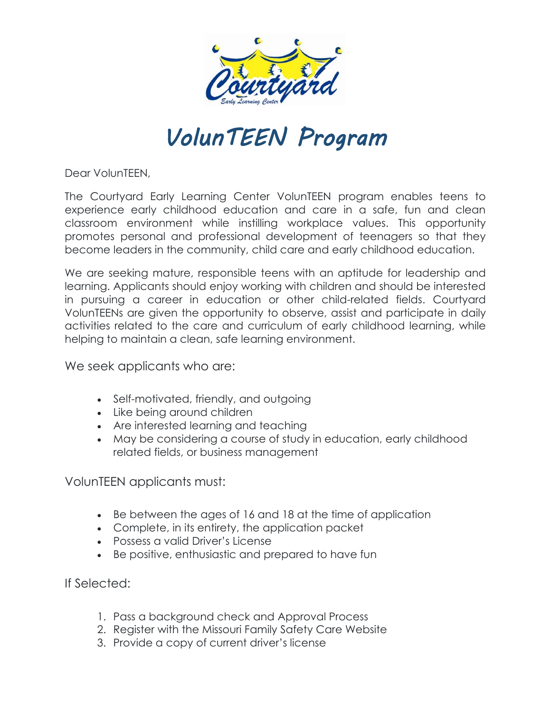

## VolunTEEN Program

Dear VolunTEEN,

The Courtyard Early Learning Center VolunTEEN program enables teens to experience early childhood education and care in a safe, fun and clean classroom environment while instilling workplace values. This opportunity promotes personal and professional development of teenagers so that they become leaders in the community, child care and early childhood education.

We are seeking mature, responsible teens with an aptitude for leadership and learning. Applicants should enjoy working with children and should be interested in pursuing a career in education or other child-related fields. Courtyard VolunTEENs are given the opportunity to observe, assist and participate in daily activities related to the care and curriculum of early childhood learning, while helping to maintain a clean, safe learning environment.

We seek applicants who are:

- Self-motivated, friendly, and outgoing
- Like being around children
- Are interested learning and teaching
- May be considering a course of study in education, early childhood related fields, or business management

VolunTEEN applicants must:

- Be between the ages of 16 and 18 at the time of application
- Complete, in its entirety, the application packet
- Possess a valid Driver's License
- Be positive, enthusiastic and prepared to have fun

If Selected:

- 1. Pass a background check and Approval Process
- 2. Register with the Missouri Family Safety Care Website
- 3. Provide a copy of current driver's license